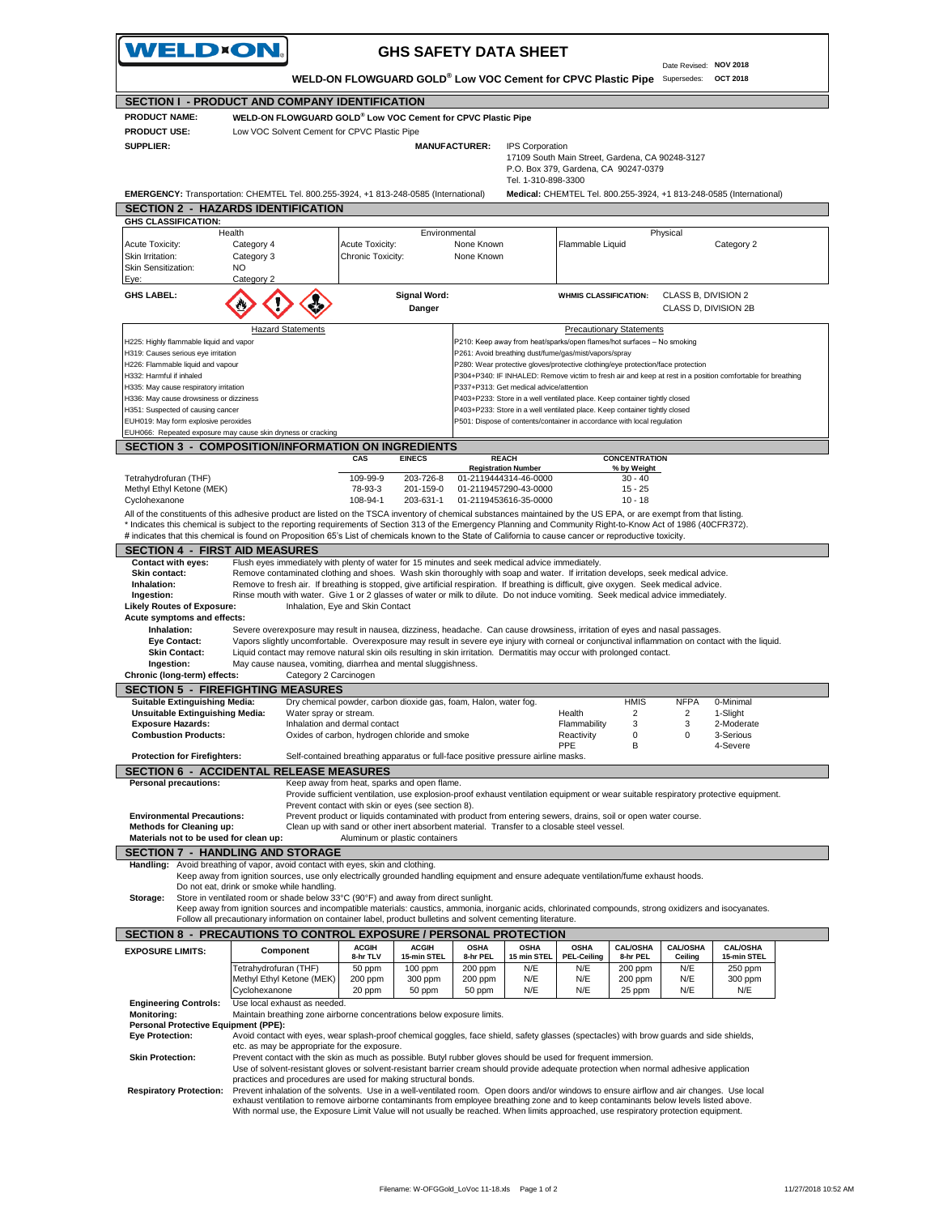| <b>WELD×ON.</b>                                                                                                                                                                                                                                                                                                                                                                                                                            |                                                                                                                                                                                                                                                                          |                              |                                                                                                                                                                                                                                                                                   | <b>GHS SAFETY DATA SHEET</b> |                                                                                                                                                          |                                                     |                                                                                                                                                       |                                 |                                       |                                                                                                                                                   |  |
|--------------------------------------------------------------------------------------------------------------------------------------------------------------------------------------------------------------------------------------------------------------------------------------------------------------------------------------------------------------------------------------------------------------------------------------------|--------------------------------------------------------------------------------------------------------------------------------------------------------------------------------------------------------------------------------------------------------------------------|------------------------------|-----------------------------------------------------------------------------------------------------------------------------------------------------------------------------------------------------------------------------------------------------------------------------------|------------------------------|----------------------------------------------------------------------------------------------------------------------------------------------------------|-----------------------------------------------------|-------------------------------------------------------------------------------------------------------------------------------------------------------|---------------------------------|---------------------------------------|---------------------------------------------------------------------------------------------------------------------------------------------------|--|
|                                                                                                                                                                                                                                                                                                                                                                                                                                            |                                                                                                                                                                                                                                                                          |                              | WELD-ON FLOWGUARD GOLD® Low VOC Cement for CPVC Plastic Pipe                                                                                                                                                                                                                      |                              |                                                                                                                                                          |                                                     |                                                                                                                                                       |                                 | Date Revised: NOV 2018<br>Supersedes: | OCT 2018                                                                                                                                          |  |
| <b>SECTION I - PRODUCT AND COMPANY IDENTIFICATION</b>                                                                                                                                                                                                                                                                                                                                                                                      |                                                                                                                                                                                                                                                                          |                              |                                                                                                                                                                                                                                                                                   |                              |                                                                                                                                                          |                                                     |                                                                                                                                                       |                                 |                                       |                                                                                                                                                   |  |
| <b>PRODUCT NAME:</b>                                                                                                                                                                                                                                                                                                                                                                                                                       |                                                                                                                                                                                                                                                                          |                              | WELD-ON FLOWGUARD GOLD® Low VOC Cement for CPVC Plastic Pipe                                                                                                                                                                                                                      |                              |                                                                                                                                                          |                                                     |                                                                                                                                                       |                                 |                                       |                                                                                                                                                   |  |
| <b>PRODUCT USE:</b>                                                                                                                                                                                                                                                                                                                                                                                                                        |                                                                                                                                                                                                                                                                          |                              | Low VOC Solvent Cement for CPVC Plastic Pipe                                                                                                                                                                                                                                      |                              |                                                                                                                                                          |                                                     |                                                                                                                                                       |                                 |                                       |                                                                                                                                                   |  |
| <b>SUPPLIER:</b>                                                                                                                                                                                                                                                                                                                                                                                                                           |                                                                                                                                                                                                                                                                          |                              |                                                                                                                                                                                                                                                                                   |                              | <b>MANUFACTURER:</b>                                                                                                                                     | <b>IPS Corporation</b>                              |                                                                                                                                                       |                                 |                                       |                                                                                                                                                   |  |
|                                                                                                                                                                                                                                                                                                                                                                                                                                            |                                                                                                                                                                                                                                                                          |                              |                                                                                                                                                                                                                                                                                   |                              |                                                                                                                                                          |                                                     | 17109 South Main Street, Gardena, CA 90248-3127<br>P.O. Box 379, Gardena, CA 90247-0379                                                               |                                 |                                       |                                                                                                                                                   |  |
|                                                                                                                                                                                                                                                                                                                                                                                                                                            |                                                                                                                                                                                                                                                                          |                              |                                                                                                                                                                                                                                                                                   |                              |                                                                                                                                                          | Tel. 1-310-898-3300                                 |                                                                                                                                                       |                                 |                                       |                                                                                                                                                   |  |
| <b>EMERGENCY:</b> Transportation: CHEMTEL Tel. 800.255-3924, +1 813-248-0585 (International)                                                                                                                                                                                                                                                                                                                                               |                                                                                                                                                                                                                                                                          |                              |                                                                                                                                                                                                                                                                                   |                              |                                                                                                                                                          |                                                     |                                                                                                                                                       |                                 |                                       | Medical: CHEMTEL Tel. 800.255-3924, +1 813-248-0585 (International)                                                                               |  |
| <b>SECTION 2 - HAZARDS IDENTIFICATION</b>                                                                                                                                                                                                                                                                                                                                                                                                  |                                                                                                                                                                                                                                                                          |                              |                                                                                                                                                                                                                                                                                   |                              |                                                                                                                                                          |                                                     |                                                                                                                                                       |                                 |                                       |                                                                                                                                                   |  |
| <b>GHS CLASSIFICATION:</b>                                                                                                                                                                                                                                                                                                                                                                                                                 |                                                                                                                                                                                                                                                                          |                              |                                                                                                                                                                                                                                                                                   |                              |                                                                                                                                                          |                                                     |                                                                                                                                                       |                                 |                                       |                                                                                                                                                   |  |
|                                                                                                                                                                                                                                                                                                                                                                                                                                            | Health                                                                                                                                                                                                                                                                   |                              |                                                                                                                                                                                                                                                                                   | Environmental                |                                                                                                                                                          |                                                     |                                                                                                                                                       |                                 | Physical                              |                                                                                                                                                   |  |
| <b>Acute Toxicity:</b>                                                                                                                                                                                                                                                                                                                                                                                                                     | Category 4                                                                                                                                                                                                                                                               |                              | Acute Toxicity:                                                                                                                                                                                                                                                                   |                              | None Known                                                                                                                                               |                                                     | Flammable Liquid                                                                                                                                      |                                 |                                       | Category 2                                                                                                                                        |  |
| Skin Irritation:<br>Skin Sensitization:                                                                                                                                                                                                                                                                                                                                                                                                    | Category 3<br>NO.                                                                                                                                                                                                                                                        |                              | Chronic Toxicity:                                                                                                                                                                                                                                                                 |                              | None Known                                                                                                                                               |                                                     |                                                                                                                                                       |                                 |                                       |                                                                                                                                                   |  |
| Eye:                                                                                                                                                                                                                                                                                                                                                                                                                                       | Category 2                                                                                                                                                                                                                                                               |                              |                                                                                                                                                                                                                                                                                   |                              |                                                                                                                                                          |                                                     |                                                                                                                                                       |                                 |                                       |                                                                                                                                                   |  |
| <b>GHS LABEL:</b>                                                                                                                                                                                                                                                                                                                                                                                                                          |                                                                                                                                                                                                                                                                          |                              |                                                                                                                                                                                                                                                                                   | <b>Signal Word:</b>          |                                                                                                                                                          |                                                     | <b>WHMIS CLASSIFICATION:</b>                                                                                                                          |                                 | CLASS B, DIVISION 2                   |                                                                                                                                                   |  |
|                                                                                                                                                                                                                                                                                                                                                                                                                                            |                                                                                                                                                                                                                                                                          |                              |                                                                                                                                                                                                                                                                                   | Danger                       |                                                                                                                                                          |                                                     |                                                                                                                                                       |                                 | CLASS D, DIVISION 2B                  |                                                                                                                                                   |  |
|                                                                                                                                                                                                                                                                                                                                                                                                                                            |                                                                                                                                                                                                                                                                          |                              |                                                                                                                                                                                                                                                                                   |                              |                                                                                                                                                          |                                                     |                                                                                                                                                       |                                 |                                       |                                                                                                                                                   |  |
|                                                                                                                                                                                                                                                                                                                                                                                                                                            |                                                                                                                                                                                                                                                                          | <b>Hazard Statements</b>     |                                                                                                                                                                                                                                                                                   |                              |                                                                                                                                                          |                                                     |                                                                                                                                                       | <b>Precautionary Statements</b> |                                       |                                                                                                                                                   |  |
| H225: Highly flammable liquid and vapor<br>H319: Causes serious eye irritation                                                                                                                                                                                                                                                                                                                                                             |                                                                                                                                                                                                                                                                          |                              |                                                                                                                                                                                                                                                                                   |                              |                                                                                                                                                          |                                                     | P210: Keep away from heat/sparks/open flames/hot surfaces - No smoking<br>P261: Avoid breathing dust/fume/gas/mist/vapors/spray                       |                                 |                                       |                                                                                                                                                   |  |
| H226: Flammable liquid and vapour                                                                                                                                                                                                                                                                                                                                                                                                          |                                                                                                                                                                                                                                                                          |                              |                                                                                                                                                                                                                                                                                   |                              |                                                                                                                                                          |                                                     | P280: Wear protective gloves/protective clothing/eye protection/face protection                                                                       |                                 |                                       |                                                                                                                                                   |  |
| H332: Harmful if inhaled                                                                                                                                                                                                                                                                                                                                                                                                                   |                                                                                                                                                                                                                                                                          |                              |                                                                                                                                                                                                                                                                                   |                              |                                                                                                                                                          |                                                     |                                                                                                                                                       |                                 |                                       | P304+P340: IF INHALED: Remove victim to fresh air and keep at rest in a position comfortable for breathing                                        |  |
| H335: May cause respiratory irritation                                                                                                                                                                                                                                                                                                                                                                                                     |                                                                                                                                                                                                                                                                          |                              |                                                                                                                                                                                                                                                                                   |                              |                                                                                                                                                          | P337+P313: Get medical advice/attention             |                                                                                                                                                       |                                 |                                       |                                                                                                                                                   |  |
| H336: May cause drowsiness or dizziness                                                                                                                                                                                                                                                                                                                                                                                                    |                                                                                                                                                                                                                                                                          |                              |                                                                                                                                                                                                                                                                                   |                              |                                                                                                                                                          |                                                     | P403+P233: Store in a well ventilated place. Keep container tightly closed                                                                            |                                 |                                       |                                                                                                                                                   |  |
| H351: Suspected of causing cancer<br>EUH019: May form explosive peroxides                                                                                                                                                                                                                                                                                                                                                                  |                                                                                                                                                                                                                                                                          |                              |                                                                                                                                                                                                                                                                                   |                              |                                                                                                                                                          |                                                     | P403+P233: Store in a well ventilated place. Keep container tightly closed<br>P501: Dispose of contents/container in accordance with local regulation |                                 |                                       |                                                                                                                                                   |  |
| EUH066: Repeated exposure may cause skin dryness or cracking                                                                                                                                                                                                                                                                                                                                                                               |                                                                                                                                                                                                                                                                          |                              |                                                                                                                                                                                                                                                                                   |                              |                                                                                                                                                          |                                                     |                                                                                                                                                       |                                 |                                       |                                                                                                                                                   |  |
| <b>SECTION 3 - COMPOSITION/INFORMATION ON INGREDIENTS</b>                                                                                                                                                                                                                                                                                                                                                                                  |                                                                                                                                                                                                                                                                          |                              |                                                                                                                                                                                                                                                                                   |                              |                                                                                                                                                          |                                                     |                                                                                                                                                       |                                 |                                       |                                                                                                                                                   |  |
|                                                                                                                                                                                                                                                                                                                                                                                                                                            |                                                                                                                                                                                                                                                                          |                              | CAS                                                                                                                                                                                                                                                                               | <b>EINECS</b>                |                                                                                                                                                          | <b>REACH</b>                                        |                                                                                                                                                       | <b>CONCENTRATION</b>            |                                       |                                                                                                                                                   |  |
| Tetrahydrofuran (THF)                                                                                                                                                                                                                                                                                                                                                                                                                      |                                                                                                                                                                                                                                                                          |                              | 109-99-9                                                                                                                                                                                                                                                                          | 203-726-8                    |                                                                                                                                                          | <b>Registration Number</b><br>01-2119444314-46-0000 |                                                                                                                                                       | % by Weight<br>$30 - 40$        |                                       |                                                                                                                                                   |  |
| Methyl Ethyl Ketone (MEK)                                                                                                                                                                                                                                                                                                                                                                                                                  |                                                                                                                                                                                                                                                                          |                              | 78-93-3                                                                                                                                                                                                                                                                           | 201-159-0                    |                                                                                                                                                          | 01-2119457290-43-0000                               |                                                                                                                                                       | $15 - 25$                       |                                       |                                                                                                                                                   |  |
| Cyclohexanone                                                                                                                                                                                                                                                                                                                                                                                                                              |                                                                                                                                                                                                                                                                          |                              | 108-94-1                                                                                                                                                                                                                                                                          | 203-631-1                    |                                                                                                                                                          | 01-2119453616-35-0000                               |                                                                                                                                                       | $10 - 18$                       |                                       |                                                                                                                                                   |  |
| All of the constituents of this adhesive product are listed on the TSCA inventory of chemical substances maintained by the US EPA, or are exempt from that listing.                                                                                                                                                                                                                                                                        |                                                                                                                                                                                                                                                                          |                              |                                                                                                                                                                                                                                                                                   |                              |                                                                                                                                                          |                                                     |                                                                                                                                                       |                                 |                                       |                                                                                                                                                   |  |
| * Indicates this chemical is subject to the reporting requirements of Section 313 of the Emergency Planning and Community Right-to-Know Act of 1986 (40CFR372).                                                                                                                                                                                                                                                                            |                                                                                                                                                                                                                                                                          |                              |                                                                                                                                                                                                                                                                                   |                              |                                                                                                                                                          |                                                     |                                                                                                                                                       |                                 |                                       |                                                                                                                                                   |  |
|                                                                                                                                                                                                                                                                                                                                                                                                                                            |                                                                                                                                                                                                                                                                          |                              |                                                                                                                                                                                                                                                                                   |                              |                                                                                                                                                          |                                                     |                                                                                                                                                       |                                 |                                       |                                                                                                                                                   |  |
|                                                                                                                                                                                                                                                                                                                                                                                                                                            |                                                                                                                                                                                                                                                                          |                              |                                                                                                                                                                                                                                                                                   |                              | # indicates that this chemical is found on Proposition 65's List of chemicals known to the State of California to cause cancer or reproductive toxicity. |                                                     |                                                                                                                                                       |                                 |                                       |                                                                                                                                                   |  |
| <b>SECTION 4 - FIRST AID MEASURES</b>                                                                                                                                                                                                                                                                                                                                                                                                      |                                                                                                                                                                                                                                                                          |                              |                                                                                                                                                                                                                                                                                   |                              |                                                                                                                                                          |                                                     |                                                                                                                                                       |                                 |                                       |                                                                                                                                                   |  |
| Contact with eyes:                                                                                                                                                                                                                                                                                                                                                                                                                         |                                                                                                                                                                                                                                                                          |                              | Flush eyes immediately with plenty of water for 15 minutes and seek medical advice immediately.                                                                                                                                                                                   |                              |                                                                                                                                                          |                                                     |                                                                                                                                                       |                                 |                                       |                                                                                                                                                   |  |
| Skin contact:<br>Inhalation:                                                                                                                                                                                                                                                                                                                                                                                                               |                                                                                                                                                                                                                                                                          |                              | Remove contaminated clothing and shoes. Wash skin thoroughly with soap and water. If irritation develops, seek medical advice.<br>Remove to fresh air. If breathing is stopped, give artificial respiration. If breathing is difficult, give oxygen. Seek medical advice.         |                              |                                                                                                                                                          |                                                     |                                                                                                                                                       |                                 |                                       |                                                                                                                                                   |  |
| Ingestion:                                                                                                                                                                                                                                                                                                                                                                                                                                 |                                                                                                                                                                                                                                                                          |                              | Rinse mouth with water. Give 1 or 2 glasses of water or milk to dilute. Do not induce vomiting. Seek medical advice immediately.                                                                                                                                                  |                              |                                                                                                                                                          |                                                     |                                                                                                                                                       |                                 |                                       |                                                                                                                                                   |  |
| <b>Likely Routes of Exposure:</b>                                                                                                                                                                                                                                                                                                                                                                                                          |                                                                                                                                                                                                                                                                          |                              | Inhalation, Eye and Skin Contact                                                                                                                                                                                                                                                  |                              |                                                                                                                                                          |                                                     |                                                                                                                                                       |                                 |                                       |                                                                                                                                                   |  |
| Acute symptoms and effects:                                                                                                                                                                                                                                                                                                                                                                                                                |                                                                                                                                                                                                                                                                          |                              |                                                                                                                                                                                                                                                                                   |                              |                                                                                                                                                          |                                                     |                                                                                                                                                       |                                 |                                       |                                                                                                                                                   |  |
| Inhalation:<br><b>Eye Contact:</b>                                                                                                                                                                                                                                                                                                                                                                                                         |                                                                                                                                                                                                                                                                          |                              | Severe overexposure may result in nausea, dizziness, headache. Can cause drowsiness, irritation of eyes and nasal passages.                                                                                                                                                       |                              |                                                                                                                                                          |                                                     |                                                                                                                                                       |                                 |                                       |                                                                                                                                                   |  |
| <b>Skin Contact:</b>                                                                                                                                                                                                                                                                                                                                                                                                                       |                                                                                                                                                                                                                                                                          |                              | Liquid contact may remove natural skin oils resulting in skin irritation. Dermatitis may occur with prolonged contact.                                                                                                                                                            |                              |                                                                                                                                                          |                                                     |                                                                                                                                                       |                                 |                                       | Vapors slightly uncomfortable. Overexposure may result in severe eye injury with corneal or conjunctival inflammation on contact with the liquid. |  |
| Ingestion:                                                                                                                                                                                                                                                                                                                                                                                                                                 |                                                                                                                                                                                                                                                                          |                              | May cause nausea, vomiting, diarrhea and mental sluggishness.                                                                                                                                                                                                                     |                              |                                                                                                                                                          |                                                     |                                                                                                                                                       |                                 |                                       |                                                                                                                                                   |  |
| Chronic (long-term) effects:                                                                                                                                                                                                                                                                                                                                                                                                               |                                                                                                                                                                                                                                                                          | Category 2 Carcinogen        |                                                                                                                                                                                                                                                                                   |                              |                                                                                                                                                          |                                                     |                                                                                                                                                       |                                 |                                       |                                                                                                                                                   |  |
|                                                                                                                                                                                                                                                                                                                                                                                                                                            |                                                                                                                                                                                                                                                                          |                              |                                                                                                                                                                                                                                                                                   |                              |                                                                                                                                                          |                                                     |                                                                                                                                                       |                                 |                                       |                                                                                                                                                   |  |
| <b>SECTION 5 - FIREFIGHTING MEASURES</b><br><b>Suitable Extinguishing Media:</b>                                                                                                                                                                                                                                                                                                                                                           |                                                                                                                                                                                                                                                                          |                              | Dry chemical powder, carbon dioxide gas, foam, Halon, water fog.                                                                                                                                                                                                                  |                              |                                                                                                                                                          |                                                     |                                                                                                                                                       | <b>HMIS</b>                     | <b>NFPA</b>                           | 0-Minimal                                                                                                                                         |  |
| <b>Unsuitable Extinguishing Media:</b><br><b>Exposure Hazards:</b>                                                                                                                                                                                                                                                                                                                                                                         |                                                                                                                                                                                                                                                                          | Water spray or stream.       | Inhalation and dermal contact                                                                                                                                                                                                                                                     |                              |                                                                                                                                                          |                                                     | Health<br>Flammability                                                                                                                                | 2<br>3                          | $\overline{2}$<br>3                   | 1-Slight<br>2-Moderate                                                                                                                            |  |
| <b>Combustion Products:</b>                                                                                                                                                                                                                                                                                                                                                                                                                |                                                                                                                                                                                                                                                                          |                              | Oxides of carbon, hydrogen chloride and smoke                                                                                                                                                                                                                                     |                              |                                                                                                                                                          |                                                     | Reactivity                                                                                                                                            | 0                               | 0                                     | 3-Serious                                                                                                                                         |  |
|                                                                                                                                                                                                                                                                                                                                                                                                                                            |                                                                                                                                                                                                                                                                          |                              |                                                                                                                                                                                                                                                                                   |                              |                                                                                                                                                          |                                                     | PPE                                                                                                                                                   | B                               |                                       | 4-Severe                                                                                                                                          |  |
| <b>Protection for Firefighters:</b>                                                                                                                                                                                                                                                                                                                                                                                                        |                                                                                                                                                                                                                                                                          |                              | Self-contained breathing apparatus or full-face positive pressure airline masks.                                                                                                                                                                                                  |                              |                                                                                                                                                          |                                                     |                                                                                                                                                       |                                 |                                       |                                                                                                                                                   |  |
|                                                                                                                                                                                                                                                                                                                                                                                                                                            |                                                                                                                                                                                                                                                                          |                              |                                                                                                                                                                                                                                                                                   |                              |                                                                                                                                                          |                                                     |                                                                                                                                                       |                                 |                                       |                                                                                                                                                   |  |
|                                                                                                                                                                                                                                                                                                                                                                                                                                            |                                                                                                                                                                                                                                                                          |                              | Keep away from heat, sparks and open flame.                                                                                                                                                                                                                                       |                              |                                                                                                                                                          |                                                     |                                                                                                                                                       |                                 |                                       | Provide sufficient ventilation, use explosion-proof exhaust ventilation equipment or wear suitable respiratory protective equipment.              |  |
|                                                                                                                                                                                                                                                                                                                                                                                                                                            |                                                                                                                                                                                                                                                                          |                              | Prevent contact with skin or eyes (see section 8).                                                                                                                                                                                                                                |                              |                                                                                                                                                          |                                                     |                                                                                                                                                       |                                 |                                       |                                                                                                                                                   |  |
|                                                                                                                                                                                                                                                                                                                                                                                                                                            |                                                                                                                                                                                                                                                                          |                              | Prevent product or liquids contaminated with product from entering sewers, drains, soil or open water course.                                                                                                                                                                     |                              |                                                                                                                                                          |                                                     |                                                                                                                                                       |                                 |                                       |                                                                                                                                                   |  |
|                                                                                                                                                                                                                                                                                                                                                                                                                                            |                                                                                                                                                                                                                                                                          |                              | Clean up with sand or other inert absorbent material. Transfer to a closable steel vessel.                                                                                                                                                                                        |                              |                                                                                                                                                          |                                                     |                                                                                                                                                       |                                 |                                       |                                                                                                                                                   |  |
|                                                                                                                                                                                                                                                                                                                                                                                                                                            |                                                                                                                                                                                                                                                                          |                              | Aluminum or plastic containers                                                                                                                                                                                                                                                    |                              |                                                                                                                                                          |                                                     |                                                                                                                                                       |                                 |                                       |                                                                                                                                                   |  |
|                                                                                                                                                                                                                                                                                                                                                                                                                                            |                                                                                                                                                                                                                                                                          |                              |                                                                                                                                                                                                                                                                                   |                              |                                                                                                                                                          |                                                     |                                                                                                                                                       |                                 |                                       |                                                                                                                                                   |  |
|                                                                                                                                                                                                                                                                                                                                                                                                                                            | Keep away from ignition sources, use only electrically grounded handling equipment and ensure adequate ventilation/fume exhaust hoods.                                                                                                                                   |                              |                                                                                                                                                                                                                                                                                   |                              |                                                                                                                                                          |                                                     |                                                                                                                                                       |                                 |                                       |                                                                                                                                                   |  |
|                                                                                                                                                                                                                                                                                                                                                                                                                                            | Do not eat, drink or smoke while handling.                                                                                                                                                                                                                               |                              |                                                                                                                                                                                                                                                                                   |                              |                                                                                                                                                          |                                                     |                                                                                                                                                       |                                 |                                       |                                                                                                                                                   |  |
|                                                                                                                                                                                                                                                                                                                                                                                                                                            | Store in ventilated room or shade below 33°C (90°F) and away from direct sunlight.                                                                                                                                                                                       |                              |                                                                                                                                                                                                                                                                                   |                              |                                                                                                                                                          |                                                     |                                                                                                                                                       |                                 |                                       |                                                                                                                                                   |  |
|                                                                                                                                                                                                                                                                                                                                                                                                                                            | Keep away from ignition sources and incompatible materials: caustics, ammonia, inorganic acids, chlorinated compounds, strong oxidizers and isocyanates.<br>Follow all precautionary information on container label, product bulletins and solvent cementing literature. |                              |                                                                                                                                                                                                                                                                                   |                              |                                                                                                                                                          |                                                     |                                                                                                                                                       |                                 |                                       |                                                                                                                                                   |  |
|                                                                                                                                                                                                                                                                                                                                                                                                                                            |                                                                                                                                                                                                                                                                          |                              |                                                                                                                                                                                                                                                                                   |                              |                                                                                                                                                          |                                                     |                                                                                                                                                       |                                 |                                       |                                                                                                                                                   |  |
|                                                                                                                                                                                                                                                                                                                                                                                                                                            |                                                                                                                                                                                                                                                                          |                              | <b>ACGIH</b>                                                                                                                                                                                                                                                                      | <b>ACGIH</b>                 | <b>OSHA</b>                                                                                                                                              | <b>OSHA</b>                                         | <b>OSHA</b>                                                                                                                                           | <b>CAL/OSHA</b>                 | <b>CAL/OSHA</b>                       | <b>CAL/OSHA</b>                                                                                                                                   |  |
|                                                                                                                                                                                                                                                                                                                                                                                                                                            |                                                                                                                                                                                                                                                                          | Component                    | 8-hr TLV                                                                                                                                                                                                                                                                          | 15-min STEL                  | 8-hr PEL                                                                                                                                                 | 15 min STEL                                         | <b>PEL-Ceiling</b>                                                                                                                                    | 8-hr PEL                        | Ceiling                               | 15-min STEL                                                                                                                                       |  |
|                                                                                                                                                                                                                                                                                                                                                                                                                                            | Tetrahydrofuran (THF)                                                                                                                                                                                                                                                    |                              | 50 ppm                                                                                                                                                                                                                                                                            | 100 ppm                      | 200 ppm                                                                                                                                                  | N/E                                                 | N/E                                                                                                                                                   | 200 ppm                         | N/E                                   | 250 ppm                                                                                                                                           |  |
| <b>SECTION 6 - ACCIDENTAL RELEASE MEASURES</b><br><b>Personal precautions:</b><br><b>Environmental Precautions:</b><br><b>Methods for Cleaning up:</b><br>Materials not to be used for clean up:<br><b>SECTION 7 - HANDLING AND STORAGE</b><br>Handling: Avoid breathing of vapor, avoid contact with eyes, skin and clothing.<br>Storage:<br>SECTION 8 - PRECAUTIONS TO CONTROL EXPOSURE / PERSONAL PROTECTION<br><b>EXPOSURE LIMITS:</b> | Methyl Ethyl Ketone (MEK)<br>Cyclohexanone                                                                                                                                                                                                                               |                              | 200 ppm                                                                                                                                                                                                                                                                           | 300 ppm                      | 200 ppm                                                                                                                                                  | N/E<br>N/E                                          | N/E<br>N/E                                                                                                                                            | 200 ppm                         | N/E<br>N/E                            | 300 ppm<br>N/E                                                                                                                                    |  |
| <b>Engineering Controls:</b>                                                                                                                                                                                                                                                                                                                                                                                                               |                                                                                                                                                                                                                                                                          | Use local exhaust as needed. | 20 ppm                                                                                                                                                                                                                                                                            | 50 ppm                       | 50 ppm                                                                                                                                                   |                                                     |                                                                                                                                                       | 25 ppm                          |                                       |                                                                                                                                                   |  |
|                                                                                                                                                                                                                                                                                                                                                                                                                                            |                                                                                                                                                                                                                                                                          |                              | Maintain breathing zone airborne concentrations below exposure limits.                                                                                                                                                                                                            |                              |                                                                                                                                                          |                                                     |                                                                                                                                                       |                                 |                                       |                                                                                                                                                   |  |
|                                                                                                                                                                                                                                                                                                                                                                                                                                            |                                                                                                                                                                                                                                                                          |                              |                                                                                                                                                                                                                                                                                   |                              |                                                                                                                                                          |                                                     |                                                                                                                                                       |                                 |                                       |                                                                                                                                                   |  |
| <b>Monitoring:</b><br>Personal Protective Equipment (PPE):<br><b>Eye Protection:</b>                                                                                                                                                                                                                                                                                                                                                       |                                                                                                                                                                                                                                                                          |                              | Avoid contact with eyes, wear splash-proof chemical goggles, face shield, safety glasses (spectacles) with brow guards and side shields,                                                                                                                                          |                              |                                                                                                                                                          |                                                     |                                                                                                                                                       |                                 |                                       |                                                                                                                                                   |  |
| <b>Skin Protection:</b>                                                                                                                                                                                                                                                                                                                                                                                                                    |                                                                                                                                                                                                                                                                          |                              | etc. as may be appropriate for the exposure.                                                                                                                                                                                                                                      |                              |                                                                                                                                                          |                                                     |                                                                                                                                                       |                                 |                                       |                                                                                                                                                   |  |
|                                                                                                                                                                                                                                                                                                                                                                                                                                            |                                                                                                                                                                                                                                                                          |                              | Prevent contact with the skin as much as possible. Butyl rubber gloves should be used for frequent immersion.<br>Use of solvent-resistant gloves or solvent-resistant barrier cream should provide adequate protection when normal adhesive application                           |                              |                                                                                                                                                          |                                                     |                                                                                                                                                       |                                 |                                       |                                                                                                                                                   |  |
|                                                                                                                                                                                                                                                                                                                                                                                                                                            |                                                                                                                                                                                                                                                                          |                              | practices and procedures are used for making structural bonds.                                                                                                                                                                                                                    |                              |                                                                                                                                                          |                                                     |                                                                                                                                                       |                                 |                                       |                                                                                                                                                   |  |
| <b>Respiratory Protection:</b>                                                                                                                                                                                                                                                                                                                                                                                                             |                                                                                                                                                                                                                                                                          |                              | Prevent inhalation of the solvents. Use in a well-ventilated room. Open doors and/or windows to ensure airflow and air changes. Use local<br>exhaust ventilation to remove airborne contaminants from employee breathing zone and to keep contaminants below levels listed above. |                              |                                                                                                                                                          |                                                     |                                                                                                                                                       |                                 |                                       |                                                                                                                                                   |  |